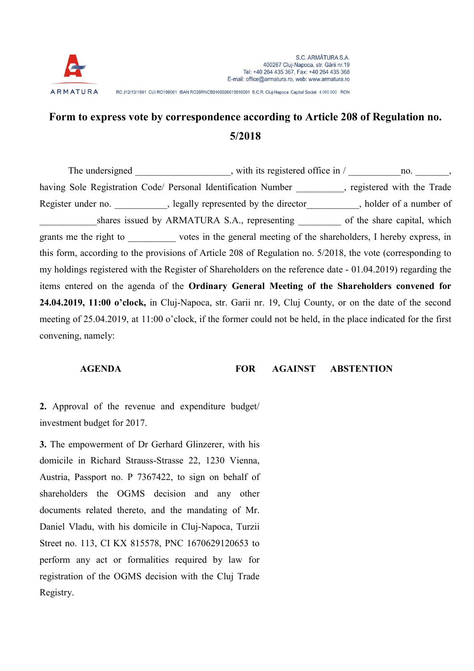

RC J12/13/1991 CUI RO199001 IBAN RO29RNCB0106026615010001 B.C.R. Cluj-Napoca Capital Social: 4,000,000 RON

## Form to express vote by correspondence according to Article 208 of Regulation no. 5/2018

The undersigned  $\cdot$ , with its registered office in /  $\cdot$  no.  $\cdot$ having Sole Registration Code/ Personal Identification Number \_\_\_\_\_\_\_\_, registered with the Trade Register under no.  $\qquad \qquad$ , legally represented by the director  $\qquad \qquad$ , holder of a number of shares issued by ARMATURA S.A., representing of the share capital, which grants me the right to votes in the general meeting of the shareholders, I hereby express, in this form, according to the provisions of Article 208 of Regulation no. 5/2018, the vote (corresponding to my holdings registered with the Register of Shareholders on the reference date - 01.04.2019) regarding the items entered on the agenda of the Ordinary General Meeting of the Shareholders convened for 24.04.2019, 11:00 o'clock, in Cluj-Napoca, str. Garii nr. 19, Cluj County, or on the date of the second meeting of 25.04.2019, at 11:00 o'clock, if the former could not be held, in the place indicated for the first convening, namely:

AGENDA FOR AGAINST ABSTENTION

2. Approval of the revenue and expenditure budget/ investment budget for 2017.

3. The empowerment of Dr Gerhard Glinzerer, with his domicile in Richard Strauss-Strasse 22, 1230 Vienna, Austria, Passport no. P 7367422, to sign on behalf of shareholders the OGMS decision and any other documents related thereto, and the mandating of Mr. Daniel Vladu, with his domicile in Cluj-Napoca, Turzii Street no. 113, CI KX 815578, PNC 1670629120653 to perform any act or formalities required by law for registration of the OGMS decision with the Cluj Trade Registry.